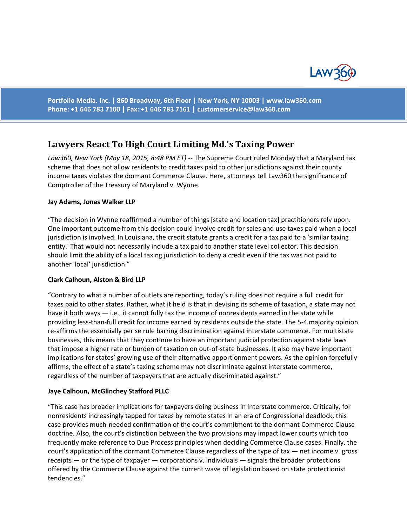

**Portfolio Media. Inc. | 860 Broadway, 6th Floor | New York, NY 10003 | www.law360.com Phone: +1 646 783 7100 | Fax: +1 646 783 7161 | [customerservice@law360.com](mailto:customerservice@law360.com)**

# **Lawyers React To High Court Limiting Md.'s Taxing Power**

*Law360, New York (May 18, 2015, 8:48 PM ET)* -- The Supreme Court ruled Monday that a Maryland tax scheme that does not allow residents to credit taxes paid to other jurisdictions against their county income taxes violates the dormant Commerce Clause. Here, attorneys tell Law360 the significance of Comptroller of the Treasury of Maryland v. Wynne.

#### **Jay Adams, Jones Walker LLP**

"The decision in Wynne reaffirmed a number of things [state and location tax] practitioners rely upon. One important outcome from this decision could involve credit for sales and use taxes paid when a local jurisdiction is involved. In Louisiana, the credit statute grants a credit for a tax paid to a 'similar taxing entity.' That would not necessarily include a tax paid to another state level collector. This decision should limit the ability of a local taxing jurisdiction to deny a credit even if the tax was not paid to another 'local' jurisdiction."

#### **Clark Calhoun, Alston & Bird LLP**

"Contrary to what a number of outlets are reporting, today's ruling does not require a full credit for taxes paid to other states. Rather, what it held is that in devising its scheme of taxation, a state may not have it both ways — i.e., it cannot fully tax the income of nonresidents earned in the state while providing less-than-full credit for income earned by residents outside the state. The 5-4 majority opinion re-affirms the essentially per se rule barring discrimination against interstate commerce. For multistate businesses, this means that they continue to have an important judicial protection against state laws that impose a higher rate or burden of taxation on out-of-state businesses. It also may have important implications for states' growing use of their alternative apportionment powers. As the opinion forcefully affirms, the effect of a state's taxing scheme may not discriminate against interstate commerce, regardless of the number of taxpayers that are actually discriminated against."

#### **Jaye Calhoun, McGlinchey Stafford PLLC**

"This case has broader implications for taxpayers doing business in interstate commerce. Critically, for nonresidents increasingly tapped for taxes by remote states in an era of Congressional deadlock, this case provides much-needed confirmation of the court's commitment to the dormant Commerce Clause doctrine. Also, the court's distinction between the two provisions may impact lower courts which too frequently make reference to Due Process principles when deciding Commerce Clause cases. Finally, the court's application of the dormant Commerce Clause regardless of the type of tax — net income v. gross receipts — or the type of taxpayer — corporations v. individuals — signals the broader protections offered by the Commerce Clause against the current wave of legislation based on state protectionist tendencies."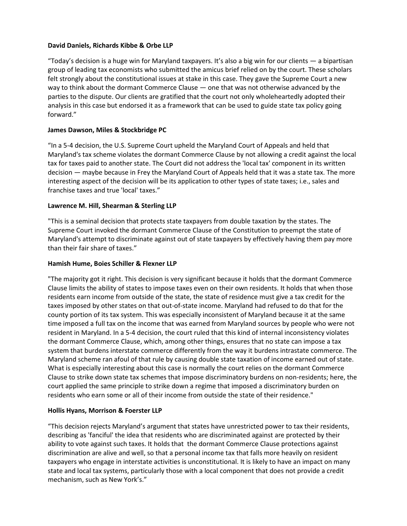# **David Daniels, Richards Kibbe & Orbe LLP**

"Today's decision is a huge win for Maryland taxpayers. It's also a big win for our clients — a bipartisan group of leading tax economists who submitted the amicus brief relied on by the court. These scholars felt strongly about the constitutional issues at stake in this case. They gave the Supreme Court a new way to think about the dormant Commerce Clause — one that was not otherwise advanced by the parties to the dispute. Our clients are gratified that the court not only wholeheartedly adopted their analysis in this case but endorsed it as a framework that can be used to guide state tax policy going forward."

# **James Dawson, Miles & Stockbridge PC**

"In a 5-4 decision, the U.S. Supreme Court upheld the Maryland Court of Appeals and held that Maryland's tax scheme violates the dormant Commerce Clause by not allowing a credit against the local tax for taxes paid to another state. The Court did not address the 'local tax' component in its written decision — maybe because in Frey the Maryland Court of Appeals held that it was a state tax. The more interesting aspect of the decision will be its application to other types of state taxes; i.e., sales and franchise taxes and true 'local' taxes."

# **Lawrence M. Hill, Shearman & Sterling LLP**

"This is a seminal decision that protects state taxpayers from double taxation by the states. The Supreme Court invoked the dormant Commerce Clause of the Constitution to preempt the state of Maryland's attempt to discriminate against out of state taxpayers by effectively having them pay more than their fair share of taxes."

# **Hamish Hume, Boies Schiller & Flexner LLP**

"The majority got it right. This decision is very significant because it holds that the dormant Commerce Clause limits the ability of states to impose taxes even on their own residents. It holds that when those residents earn income from outside of the state, the state of residence must give a tax credit for the taxes imposed by other states on that out-of-state income. Maryland had refused to do that for the county portion of its tax system. This was especially inconsistent of Maryland because it at the same time imposed a full tax on the income that was earned from Maryland sources by people who were not resident in Maryland. In a 5-4 decision, the court ruled that this kind of internal inconsistency violates the dormant Commerce Clause, which, among other things, ensures that no state can impose a tax system that burdens interstate commerce differently from the way it burdens intrastate commerce. The Maryland scheme ran afoul of that rule by causing double state taxation of income earned out of state. What is especially interesting about this case is normally the court relies on the dormant Commerce Clause to strike down state tax schemes that impose discriminatory burdens on non-residents; here, the court applied the same principle to strike down a regime that imposed a discriminatory burden on residents who earn some or all of their income from outside the state of their residence."

### **Hollis Hyans, Morrison & Foerster LLP**

"This decision rejects Maryland's argument that states have unrestricted power to tax their residents, describing as 'fanciful' the idea that residents who are discriminated against are protected by their ability to vote against such taxes. It holds that the dormant Commerce Clause protections against discrimination are alive and well, so that a personal income tax that falls more heavily on resident taxpayers who engage in interstate activities is unconstitutional. It is likely to have an impact on many state and local tax systems, particularly those with a local component that does not provide a credit mechanism, such as New York's."